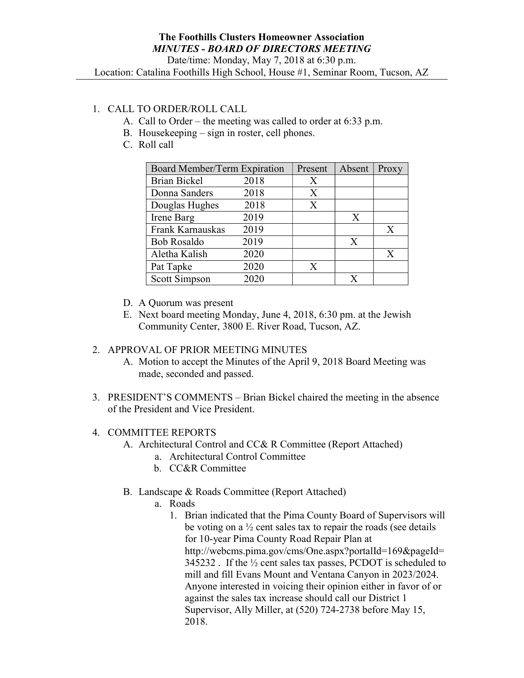Location: Catalina Foothills High School, House #1, Seminar Room, Tucson, AZ

## 1. CALL TO ORDER/ROLL CALL

- A. Call to Order the meeting was called to order at 6:33 p.m.
- B. Housekeeping sign in roster, cell phones.
- C. Roll call

| Board Member/Term Expiration |      | Present | Absent       | Proxy |
|------------------------------|------|---------|--------------|-------|
| <b>Brian Bickel</b>          | 2018 | X       |              |       |
| Donna Sanders                | 2018 | X       |              |       |
| Douglas Hughes               | 2018 | X       |              |       |
| Irene Barg                   | 2019 |         | $\mathbf{X}$ |       |
| Frank Karnauskas             | 2019 |         |              | X     |
| <b>Bob Rosaldo</b>           | 2019 |         | X            |       |
| Aletha Kalish                | 2020 |         |              | X     |
| Pat Tapke                    | 2020 | X       |              |       |
| <b>Scott Simpson</b>         | 2020 |         |              |       |

- D. A Quorum was present
- E. Next board meeting Monday, June 4, 2018, 6:30 pm. at the Jewish Community Center, 3800 E. River Road, Tucson, AZ.

## 2. APPROVAL OF PRIOR MEETING MINUTES

- A. Motion to accept the Minutes of the April 9, 2018 Board Meeting was made, seconded and passed.
- 3. PRESIDENT'S COMMENTS Brian Bickel chaired the meeting in the absence of the President and Vice President.

## 4. COMMITTEE REPORTS

- A. Architectural Control and CC& R Committee (Report Attached)
	- a. Architectural Control Committee
	- b. CC&R Committee
- B. Landscape & Roads Committee (Report Attached)
	- a. Roads
		- 1. Brian indicated that the Pima County Board of Supervisors will be voting on a  $\frac{1}{2}$  cent sales tax to repair the roads (see details for 10-year Pima County Road Repair Plan at http://webcms.pima.gov/cms/One.aspx?portalId=169&pageId= 345232 . If the ½ cent sales tax passes, PCDOT is scheduled to mill and fill Evans Mount and Ventana Canyon in 2023/2024. Anyone interested in voicing their opinion either in favor of or against the sales tax increase should call our District 1 Supervisor, Ally Miller, at (520) 724-2738 before May 15, 2018.